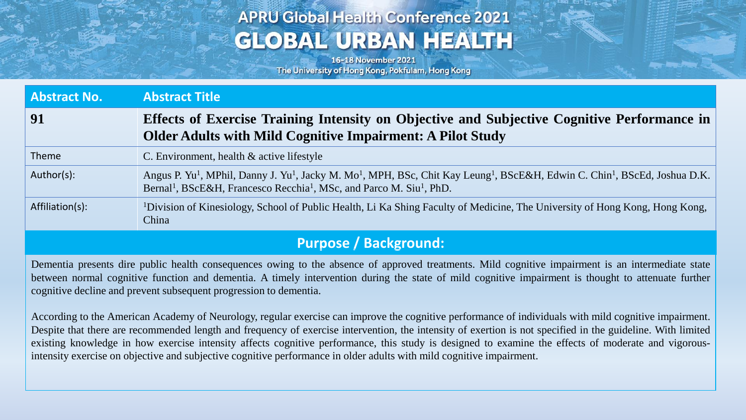# **APRU Global Health Conference 2021 GLOBAL URBAN HEALTH**

16-18 November 2021 The University of Hong Kong, Pokfulam, Hong Kong

| <b>Abstract No.</b>          | <b>Abstract Title</b>                                                                                                                                                                                                                                                                               |
|------------------------------|-----------------------------------------------------------------------------------------------------------------------------------------------------------------------------------------------------------------------------------------------------------------------------------------------------|
| 91                           | Effects of Exercise Training Intensity on Objective and Subjective Cognitive Performance in<br><b>Older Adults with Mild Cognitive Impairment: A Pilot Study</b>                                                                                                                                    |
| Theme                        | C. Environment, health $\&$ active lifestyle                                                                                                                                                                                                                                                        |
| Author(s):                   | Angus P. Yu <sup>1</sup> , MPhil, Danny J. Yu <sup>1</sup> , Jacky M. Mo <sup>1</sup> , MPH, BSc, Chit Kay Leung <sup>1</sup> , BScE&H, Edwin C. Chin <sup>1</sup> , BScEd, Joshua D.K.<br>Bernal <sup>1</sup> , BScE&H, Francesco Recchia <sup>1</sup> , MSc, and Parco M. Siu <sup>1</sup> , PhD. |
| Affiliation(s):              | <sup>1</sup> Division of Kinesiology, School of Public Health, Li Ka Shing Faculty of Medicine, The University of Hong Kong, Hong Kong,<br>China                                                                                                                                                    |
| <b>Purpose / Background:</b> |                                                                                                                                                                                                                                                                                                     |

Dementia presents dire public health consequences owing to the absence of approved treatments. Mild cognitive impairment is an intermediate state between normal cognitive function and dementia. A timely intervention during the state of mild cognitive impairment is thought to attenuate further cognitive decline and prevent subsequent progression to dementia.

According to the American Academy of Neurology, regular exercise can improve the cognitive performance of individuals with mild cognitive impairment. Despite that there are recommended length and frequency of exercise intervention, the intensity of exertion is not specified in the guideline. With limited existing knowledge in how exercise intensity affects cognitive performance, this study is designed to examine the effects of moderate and vigorousintensity exercise on objective and subjective cognitive performance in older adults with mild cognitive impairment.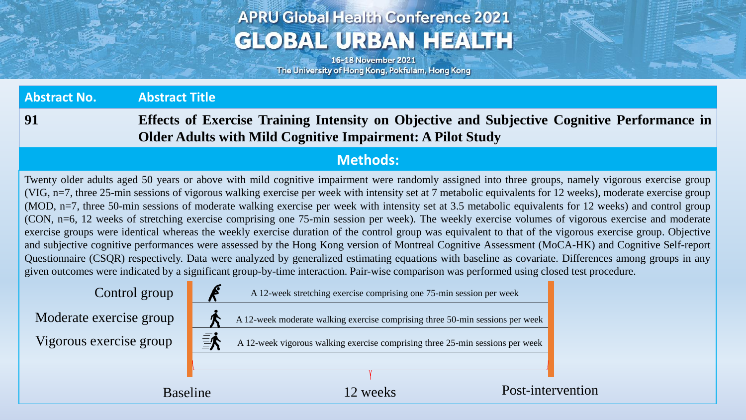# **APRU Global Health Conference 2021 GLOBAL URBAN HEALTH**

16-18 November 2021 The University of Hong Kong, Pokfulam, Hong Kong

**Abstract No. Abstract Title 91 Effects of Exercise Training Intensity on Objective and Subjective Cognitive Performance in**

**Older Adults with Mild Cognitive Impairment: A Pilot Study**

#### **Methods:**

Twenty older adults aged 50 years or above with mild cognitive impairment were randomly assigned into three groups, namely vigorous exercise group (VIG, n=7, three 25-min sessions of vigorous walking exercise per week with intensity set at 7 metabolic equivalents for 12 weeks), moderate exercise group (MOD, n=7, three 50-min sessions of moderate walking exercise per week with intensity set at 3.5 metabolic equivalents for 12 weeks) and control group (CON, n=6, 12 weeks of stretching exercise comprising one 75-min session per week). The weekly exercise volumes of vigorous exercise and moderate exercise groups were identical whereas the weekly exercise duration of the control group was equivalent to that of the vigorous exercise group. Objective and subjective cognitive performances were assessed by the Hong Kong version of Montreal Cognitive Assessment (MoCA-HK) and Cognitive Self-report Questionnaire (CSQR) respectively. Data were analyzed by generalized estimating equations with baseline as covariate. Differences among groups in any given outcomes were indicated by a significant group-by-time interaction. Pair-wise comparison was performed using closed test procedure.